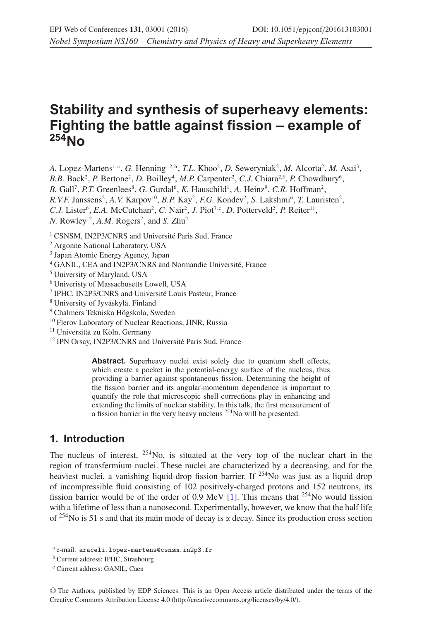# **Stability and synthesis of superheavy elements: Fighting the battle against fission – example of 254No**

A. Lopez-Martens<sup>1,a</sup>, *G.* Henning<sup>1,2,b</sup>, *T.L.* Khoo<sup>2</sup>, *D.* Seweryniak<sup>2</sup>, *M.* Alcorta<sup>2</sup>, *M.* Asai<sup>3</sup>,

*B.B.* Back<sup>2</sup>, *P.* Bertone<sup>2</sup>, *D.* Boilley<sup>4</sup>, *M.P.* Carpenter<sup>2</sup>, *C.J.* Chiara<sup>2,5</sup>, *P.* Chowdhury<sup>6</sup>,

B. Gall<sup>7</sup>, *P.T.* Greenlees<sup>8</sup>, *G.* Gurdal<sup>6</sup>, *K.* Hauschild<sup>1</sup>, *A.* Heinz<sup>9</sup>, *C.R.* Hoffman<sup>2</sup>,

 $R.V.F.$  Janssens<sup>2</sup>, *A.V.* Karpov<sup>10</sup>, *B.P.* Kay<sup>2</sup>, *F.G.* Kondev<sup>2</sup>, *S. Lakshmi*<sup>6</sup>, *T. Lauristen<sup>2</sup>*,

*C.J.* Lister<sup>6</sup>, *E.A.* McCutchan<sup>2</sup>, *C.* Nair<sup>2</sup>, *J.* Piot<sup>7, c</sup>, *D.* Potterveld<sup>2</sup>, *P.* Reiter<sup>11</sup>,

*N*. Rowley<sup>12</sup>, *A.M.* Rogers<sup>2</sup>, and *S.* Zhu<sup>2</sup>

<sup>1</sup> CSNSM, IN2P3/CNRS and Université Paris Sud, France

<sup>2</sup> Argonne National Laboratory, USA

<sup>3</sup> Japan Atomic Energy Agency, Japan

<sup>4</sup> GANIL, CEA and IN2P3/CNRS and Normandie Université, France

<sup>5</sup> University of Maryland, USA

<sup>6</sup> Univeristy of Massachusetts Lowell, USA

<sup>7</sup> IPHC, IN2P3/CNRS and Université Louis Pasteur, France

<sup>8</sup> University of Jyväskylä, Finland

<sup>9</sup> Chalmers Tekniska Högskola, Sweden

<sup>10</sup> Flerov Laboratory of Nuclear Reactions, JINR, Russia

<sup>11</sup> Universität zu Köln, Germany

<sup>12</sup> IPN Orsay, IN2P3/CNRS and Université Paris Sud, France

Abstract. Superheavy nuclei exist solely due to quantum shell effects, which create a pocket in the potential-energy surface of the nucleus, thus providing a barrier against spontaneous fission. Determining the height of the fission barrier and its angular-momentum dependence is important to quantify the role that microscopic shell corrections play in enhancing and extending the limits of nuclear stability. In this talk, the first measurement of a fission barrier in the very heavy nucleus 254No will be presented.

### **1. Introduction**

The nucleus of interest,  $254$ No, is situated at the very top of the nuclear chart in the region of transfermium nuclei. These nuclei are characterized by a decreasing, and for the heaviest nuclei, a vanishing liquid-drop fission barrier. If <sup>254</sup>No was just as a liquid drop of incompressible fluid consisting of 102 positively-charged protons and 152 neutrons, its fission barrier would be of the order of 0.9 MeV [\[1\]](#page-5-0). This means that  $^{254}$ No would fission with a lifetime of less than a nanosecond. Experimentally, however, we know that the half life of <sup>254</sup>No is 51 s and that its main mode of decay is  $\alpha$  decay. Since its production cross section

<sup>a</sup> e-mail: araceli.lopez-martens@csnsm.in2p3.fr

<sup>b</sup> Current address: IPHC, Strasbourg

<sup>c</sup> Current address: GANIL, Caen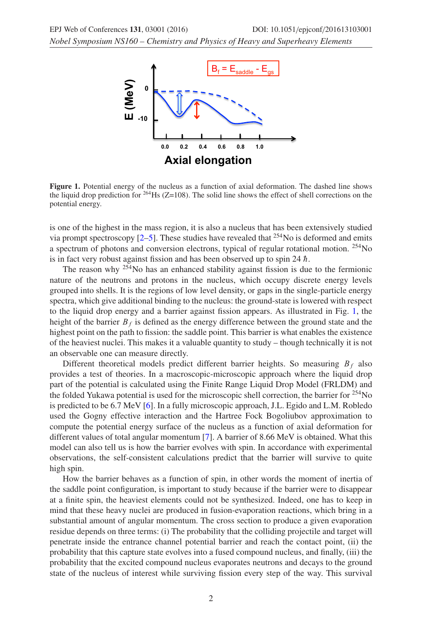<span id="page-1-0"></span>*Nobel Symposium NS160 – Chemistry and Physics of Heavy and Superheavy Elements*



**Figure 1.** Potential energy of the nucleus as a function of axial deformation. The dashed line shows the liquid drop prediction for  $^{264}$ Hs ( $Z=108$ ). The solid line shows the effect of shell corrections on the potential energy.

is one of the highest in the mass region, it is also a nucleus that has been extensively studied via prompt spectroscopy  $[2-5]$  $[2-5]$ . These studies have revealed that <sup>254</sup>No is deformed and emits a spectrum of photons and conversion electrons, typical of regular rotational motion. 254No is in fact very robust against fission and has been observed up to spin 24  $\hbar$ .

The reason why <sup>254</sup>No has an enhanced stability against fission is due to the fermionic nature of the neutrons and protons in the nucleus, which occupy discrete energy levels grouped into shells. It is the regions of low level density, or gaps in the single-particle energy spectra, which give additional binding to the nucleus: the ground-state is lowered with respect to the liquid drop energy and a barrier against fission appears. As illustrated in Fig. [1,](#page-1-0) the height of the barrier  $B_f$  is defined as the energy difference between the ground state and the highest point on the path to fission: the saddle point. This barrier is what enables the existence of the heaviest nuclei. This makes it a valuable quantity to study – though technically it is not an observable one can measure directly.

Different theoretical models predict different barrier heights. So measuring  $B_f$  also provides a test of theories. In a macroscopic-microscopic approach where the liquid drop part of the potential is calculated using the Finite Range Liquid Drop Model (FRLDM) and the folded Yukawa potential is used for the microscopic shell correction, the barrier for  $254$ No is predicted to be 6.7 MeV [\[6\]](#page-5-3). In a fully microscopic approach, J.L. Egido and L.M. Robledo used the Gogny effective interaction and the Hartree Fock Bogoliubov approximation to compute the potential energy surface of the nucleus as a function of axial deformation for different values of total angular momentum [\[7](#page-5-4)]. A barrier of 8.66 MeV is obtained. What this model can also tell us is how the barrier evolves with spin. In accordance with experimental observations, the self-consistent calculations predict that the barrier will survive to quite high spin.

How the barrier behaves as a function of spin, in other words the moment of inertia of the saddle point configuration, is important to study because if the barrier were to disappear at a finite spin, the heaviest elements could not be synthesized. Indeed, one has to keep in mind that these heavy nuclei are produced in fusion-evaporation reactions, which bring in a substantial amount of angular momentum. The cross section to produce a given evaporation residue depends on three terms: (i) The probability that the colliding projectile and target will penetrate inside the entrance channel potential barrier and reach the contact point, (ii) the probability that this capture state evolves into a fused compound nucleus, and finally, (iii) the probability that the excited compound nucleus evaporates neutrons and decays to the ground state of the nucleus of interest while surviving fission every step of the way. This survival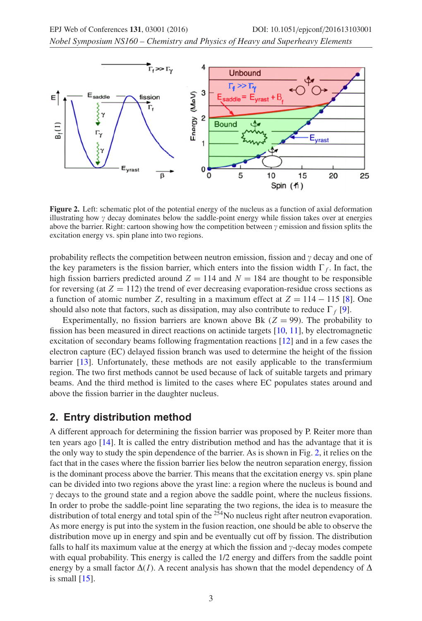*Nobel Symposium NS160 – Chemistry and Physics of Heavy and Superheavy Elements*

<span id="page-2-0"></span>

**Figure 2.** Left: schematic plot of the potential energy of the nucleus as a function of axial deformation illustrating how  $\gamma$  decay dominates below the saddle-point energy while fission takes over at energies above the barrier. Right: cartoon showing how the competition between  $\gamma$  emission and fission splits the excitation energy vs. spin plane into two regions.

probability reflects the competition between neutron emission, fission and  $\gamma$  decay and one of the key parameters is the fission barrier, which enters into the fission width  $\Gamma_f$ . In fact, the high fission barriers predicted around  $Z = 114$  and  $N = 184$  are thought to be responsible for reversing (at  $Z = 112$ ) the trend of ever decreasing evaporation-residue cross sections as a function of atomic number Z, resulting in a maximum effect at  $Z = 114 - 115$  [\[8\]](#page-5-5). One should also note that factors, such as dissipation, may also contribute to reduce  $\Gamma_f$  [\[9](#page-5-6)].

Experimentally, no fission barriers are known above Bk  $(Z = 99)$ . The probability to fission has been measured in direct reactions on actinide targets [\[10,](#page-5-7) [11\]](#page-5-8), by electromagnetic excitation of secondary beams following fragmentation reactions [\[12\]](#page-5-9) and in a few cases the electron capture (EC) delayed fission branch was used to determine the height of the fission barrier [\[13\]](#page-5-10). Unfortunately, these methods are not easily applicable to the transfermium region. The two first methods cannot be used because of lack of suitable targets and primary beams. And the third method is limited to the cases where EC populates states around and above the fission barrier in the daughter nucleus.

### **2. Entry distribution method**

A different approach for determining the fission barrier was proposed by P. Reiter more than ten years ago [\[14](#page-5-11)]. It is called the entry distribution method and has the advantage that it is the only way to study the spin dependence of the barrier. As is shown in Fig. [2,](#page-2-0) it relies on the fact that in the cases where the fission barrier lies below the neutron separation energy, fission is the dominant process above the barrier. This means that the excitation energy vs. spin plane can be divided into two regions above the yrast line: a region where the nucleus is bound and  $\gamma$  decays to the ground state and a region above the saddle point, where the nucleus fissions. In order to probe the saddle-point line separating the two regions, the idea is to measure the distribution of total energy and total spin of the <sup>254</sup>No nucleus right after neutron evaporation. As more energy is put into the system in the fusion reaction, one should be able to observe the distribution move up in energy and spin and be eventually cut off by fission. The distribution falls to half its maximum value at the energy at which the fission and  $\gamma$ -decay modes compete with equal probability. This energy is called the 1/2 energy and differs from the saddle point energy by a small factor  $\Delta(I)$ . A recent analysis has shown that the model dependency of  $\Delta$ is small  $[15]$  $[15]$ .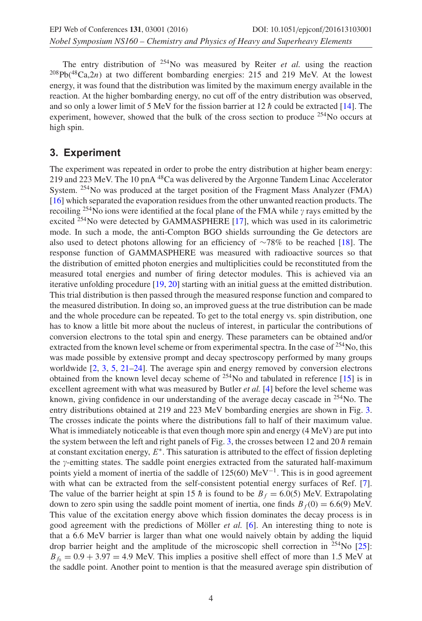The entry distribution of 254No was measured by Reiter *et al.* using the reaction  $^{208}Pb(^{48}Ca,2n)$  at two different bombarding energies: 215 and 219 MeV. At the lowest energy, it was found that the distribution was limited by the maximum energy available in the reaction. At the higher bombarding energy, no cut off of the entry distribution was observed, and so only a lower limit of 5 MeV for the fission barrier at 12  $\hbar$  could be extracted [\[14\]](#page-5-11). The experiment, however, showed that the bulk of the cross section to produce  $254N$ o occurs at high spin.

## **3. Experiment**

The experiment was repeated in order to probe the entry distribution at higher beam energy: 219 and 223 MeV. The 10 pnA 48Ca was delivered by the Argonne Tandem Linac Accelerator System.  $254$ No was produced at the target position of the Fragment Mass Analyzer (FMA) [\[16](#page-5-13)] which separated the evaporation residues from the other unwanted reaction products. The recoiling <sup>254</sup>No ions were identified at the focal plane of the FMA while  $\gamma$  rays emitted by the excited <sup>254</sup>No were detected by GAMMASPHERE [\[17](#page-5-14)], which was used in its calorimetric mode. In such a mode, the anti-Compton BGO shields surrounding the Ge detectors are also used to detect photons allowing for an efficiency of ∼78% to be reached [\[18\]](#page-5-15). The response function of GAMMASPHERE was measured with radioactive sources so that the distribution of emitted photon energies and multiplicities could be reconstituted from the measured total energies and number of firing detector modules. This is achieved via an iterative unfolding procedure [\[19](#page-5-16), [20](#page-5-17)] starting with an initial guess at the emitted distribution. This trial distribution is then passed through the measured response function and compared to the measured distribution. In doing so, an improved guess at the true distribution can be made and the whole procedure can be repeated. To get to the total energy vs. spin distribution, one has to know a little bit more about the nucleus of interest, in particular the contributions of conversion electrons to the total spin and energy. These parameters can be obtained and/or extracted from the known level scheme or from experimental spectra. In the case of  $254$ No, this was made possible by extensive prompt and decay spectroscopy performed by many groups worldwide  $[2, 3, 5, 21-24]$  $[2, 3, 5, 21-24]$  $[2, 3, 5, 21-24]$  $[2, 3, 5, 21-24]$  $[2, 3, 5, 21-24]$  $[2, 3, 5, 21-24]$  $[2, 3, 5, 21-24]$  $[2, 3, 5, 21-24]$ . The average spin and energy removed by conversion electrons obtained from the known level decay scheme of  $254$ No and tabulated in reference [\[15](#page-5-12)] is in excellent agreement with what was measured by Butler *et al.* [\[4\]](#page-5-21) before the level scheme was known, giving confidence in our understanding of the average decay cascade in  $254$ No. The entry distributions obtained at 219 and 223 MeV bombarding energies are shown in Fig. [3.](#page-4-0) The crosses indicate the points where the distributions fall to half of their maximum value. What is immediately noticeable is that even though more spin and energy (4 MeV) are put into the system between the left and right panels of Fig. [3,](#page-4-0) the crosses between 12 and 20  $\hbar$  remain at constant excitation energy,  $E^*$ . This saturation is attributed to the effect of fission depleting the  $\gamma$ -emitting states. The saddle point energies extracted from the saturated half-maximum points yield a moment of inertia of the saddle of 125(60) MeV<sup>-1</sup>. This is in good agreement with what can be extracted from the self-consistent potential energy surfaces of Ref. [\[7](#page-5-4)]. The value of the barrier height at spin 15 h is found to be  $B_f = 6.0(5)$  MeV. Extrapolating down to zero spin using the saddle point moment of inertia, one finds  $B_f(0) = 6.6(9)$  MeV. This value of the excitation energy above which fission dominates the decay process is in good agreement with the predictions of Möller *et al.* [\[6](#page-5-3)]. An interesting thing to note is that a 6.6 MeV barrier is larger than what one would naively obtain by adding the liquid drop barrier height and the amplitude of the microscopic shell correction in <sup>254</sup>No [\[25](#page-5-22)]:  $B_f = 0.9 + 3.97 = 4.9$  MeV. This implies a positive shell effect of more than 1.5 MeV at the saddle point. Another point to mention is that the measured average spin distribution of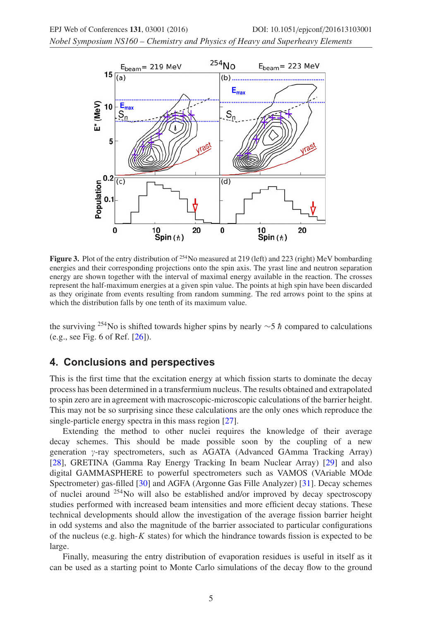<span id="page-4-0"></span>*Nobel Symposium NS160 – Chemistry and Physics of Heavy and Superheavy Elements*



**Figure 3.** Plot of the entry distribution of <sup>254</sup>No measured at 219 (left) and 223 (right) MeV bombarding energies and their corresponding projections onto the spin axis. The yrast line and neutron separation energy are shown together with the interval of maximal energy available in the reaction. The crosses represent the half-maximum energies at a given spin value. The points at high spin have been discarded as they originate from events resulting from random summing. The red arrows point to the spins at which the distribution falls by one tenth of its maximum value.

the surviving <sup>254</sup>No is shifted towards higher spins by nearly ∼5  $\hbar$  compared to calculations (e.g., see Fig. 6 of Ref. [\[26\]](#page-5-23)).

#### **4. Conclusions and perspectives**

This is the first time that the excitation energy at which fission starts to dominate the decay process has been determined in a transfermium nucleus. The results obtained and extrapolated to spin zero are in agreement with macroscopic-microscopic calculations of the barrier height. This may not be so surprising since these calculations are the only ones which reproduce the single-particle energy spectra in this mass region [\[27\]](#page-5-24).

Extending the method to other nuclei requires the knowledge of their average decay schemes. This should be made possible soon by the coupling of a new generation  $\gamma$ -ray spectrometers, such as AGATA (Advanced GAmma Tracking Array) [\[28](#page-5-25)], GRETINA (Gamma Ray Energy Tracking In beam Nuclear Array) [\[29](#page-5-26)] and also digital GAMMASPHERE to powerful spectrometers such as VAMOS (VAriable MOde Spectrometer) gas-filled [\[30\]](#page-5-27) and AGFA (Argonne Gas Fille Analyzer) [\[31](#page-5-28)]. Decay schemes of nuclei around  $^{254}$ No will also be established and/or improved by decay spectroscopy studies performed with increased beam intensities and more efficient decay stations. These technical developments should allow the investigation of the average fission barrier height in odd systems and also the magnitude of the barrier associated to particular configurations of the nucleus (e.g. high-K states) for which the hindrance towards fission is expected to be large.

Finally, measuring the entry distribution of evaporation residues is useful in itself as it can be used as a starting point to Monte Carlo simulations of the decay flow to the ground